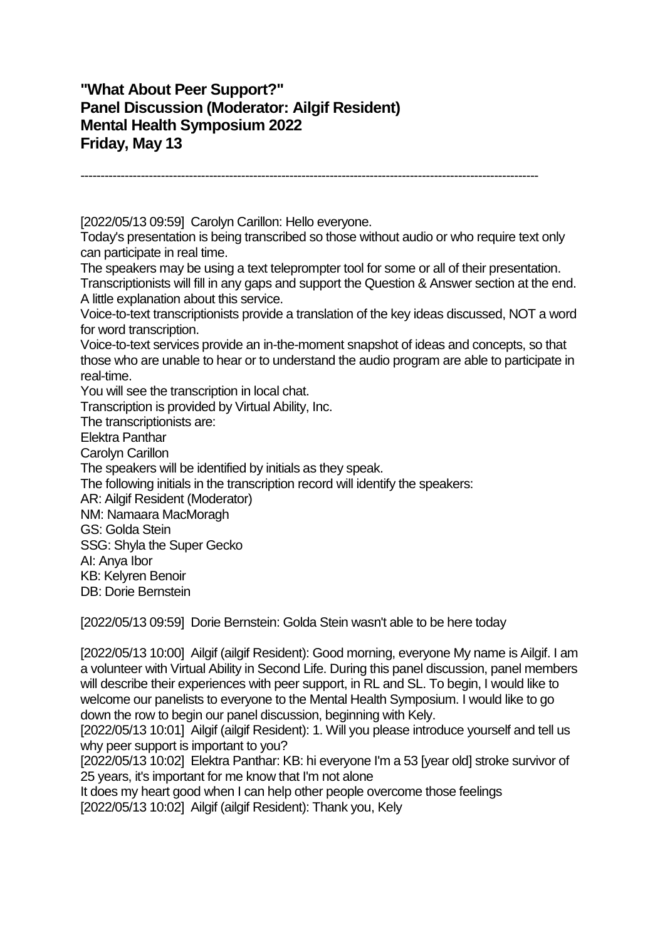## **"What About Peer Support?" Panel Discussion (Moderator: Ailgif Resident) Mental Health Symposium 2022 Friday, May 13**

------------------------------------------------------------------------------------------------------------------

[2022/05/13 09:59] Carolyn Carillon: Hello everyone.

Today's presentation is being transcribed so those without audio or who require text only can participate in real time.

The speakers may be using a text teleprompter tool for some or all of their presentation. Transcriptionists will fill in any gaps and support the Question & Answer section at the end. A little explanation about this service.

Voice-to-text transcriptionists provide a translation of the key ideas discussed, NOT a word for word transcription.

Voice-to-text services provide an in-the-moment snapshot of ideas and concepts, so that those who are unable to hear or to understand the audio program are able to participate in real-time.

You will see the transcription in local chat.

Transcription is provided by Virtual Ability, Inc.

The transcriptionists are:

Elektra Panthar

Carolyn Carillon

The speakers will be identified by initials as they speak.

The following initials in the transcription record will identify the speakers:

AR: Ailgif Resident (Moderator)

NM: Namaara MacMoragh

GS: Golda Stein

SSG: Shyla the Super Gecko

AI: Anya Ibor

KB: Kelyren Benoir

DB: Dorie Bernstein

[2022/05/13 09:59] Dorie Bernstein: Golda Stein wasn't able to be here today

[2022/05/13 10:00] Ailgif (ailgif Resident): Good morning, everyone My name is Ailgif. I am a volunteer with Virtual Ability in Second Life. During this panel discussion, panel members will describe their experiences with peer support, in RL and SL. To begin, I would like to welcome our panelists to everyone to the Mental Health Symposium. I would like to go down the row to begin our panel discussion, beginning with Kely.

[2022/05/13 10:01] Ailgif (ailgif Resident): 1. Will you please introduce yourself and tell us why peer support is important to you?

[2022/05/13 10:02] Elektra Panthar: KB: hi everyone I'm a 53 [year old] stroke survivor of 25 years, it's important for me know that I'm not alone

It does my heart good when I can help other people overcome those feelings [2022/05/13 10:02] Ailgif (ailgif Resident): Thank you, Kely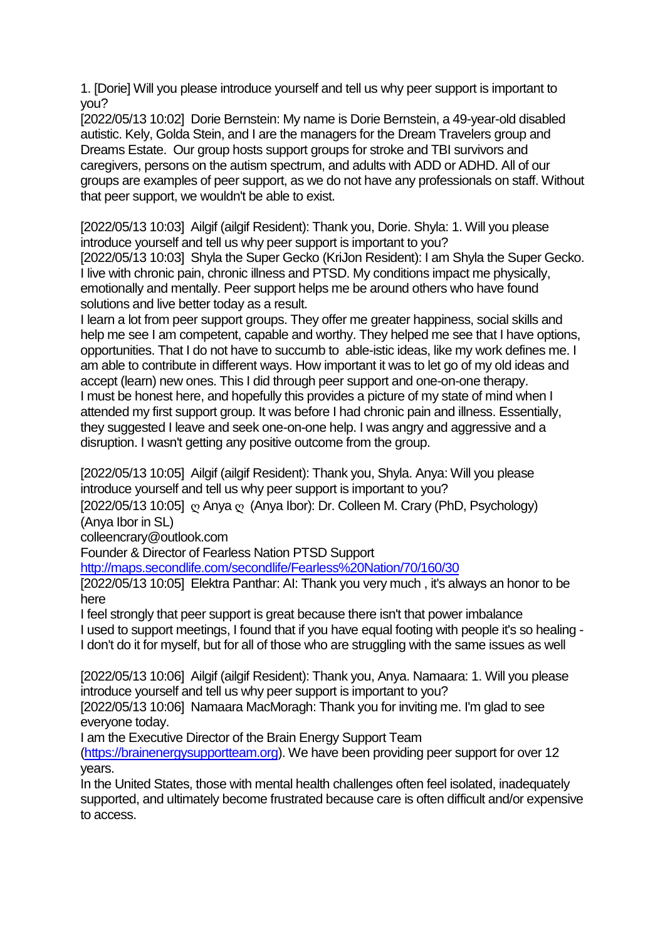1. [Dorie] Will you please introduce yourself and tell us why peer support is important to you?

[2022/05/13 10:02] Dorie Bernstein: My name is Dorie Bernstein, a 49-year-old disabled autistic. Kely, Golda Stein, and I are the managers for the Dream Travelers group and Dreams Estate. Our group hosts support groups for stroke and TBI survivors and caregivers, persons on the autism spectrum, and adults with ADD or ADHD. All of our groups are examples of peer support, as we do not have any professionals on staff. Without that peer support, we wouldn't be able to exist.

[2022/05/13 10:03] Ailgif (ailgif Resident): Thank you, Dorie. Shyla: 1. Will you please introduce yourself and tell us why peer support is important to you?

[2022/05/13 10:03] Shyla the Super Gecko (KriJon Resident): I am Shyla the Super Gecko. I live with chronic pain, chronic illness and PTSD. My conditions impact me physically, emotionally and mentally. Peer support helps me be around others who have found solutions and live better today as a result.

I learn a lot from peer support groups. They offer me greater happiness, social skills and help me see I am competent, capable and worthy. They helped me see that I have options, opportunities. That I do not have to succumb to able-istic ideas, like my work defines me. I am able to contribute in different ways. How important it was to let go of my old ideas and accept (learn) new ones. This I did through peer support and one-on-one therapy. I must be honest here, and hopefully this provides a picture of my state of mind when I attended my first support group. It was before I had chronic pain and illness. Essentially, they suggested I leave and seek one-on-one help. I was angry and aggressive and a disruption. I wasn't getting any positive outcome from the group.

[2022/05/13 10:05] Ailgif (ailgif Resident): Thank you, Shyla. Anya: Will you please introduce yourself and tell us why peer support is important to you?

[2022/05/13 10:05] ღ Anya ღ (Anya Ibor): Dr. Colleen M. Crary (PhD, Psychology) (Anya Ibor in SL)

colleencrary@outlook.com

Founder & Director of Fearless Nation PTSD Support

<http://maps.secondlife.com/secondlife/Fearless%20Nation/70/160/30>

[2022/05/13 10:05] Elektra Panthar: AI: Thank you very much, it's always an honor to be here

I feel strongly that peer support is great because there isn't that power imbalance I used to support meetings, I found that if you have equal footing with people it's so healing - I don't do it for myself, but for all of those who are struggling with the same issues as well

[2022/05/13 10:06] Ailgif (ailgif Resident): Thank you, Anya. Namaara: 1. Will you please introduce yourself and tell us why peer support is important to you?

[2022/05/13 10:06] Namaara MacMoragh: Thank you for inviting me. I'm glad to see everyone today.

I am the Executive Director of the Brain Energy Support Team

[\(https://brainenergysupportteam.org\)](https://brainenergysupportteam.org/). We have been providing peer support for over 12 years.

In the United States, those with mental health challenges often feel isolated, inadequately supported, and ultimately become frustrated because care is often difficult and/or expensive to access.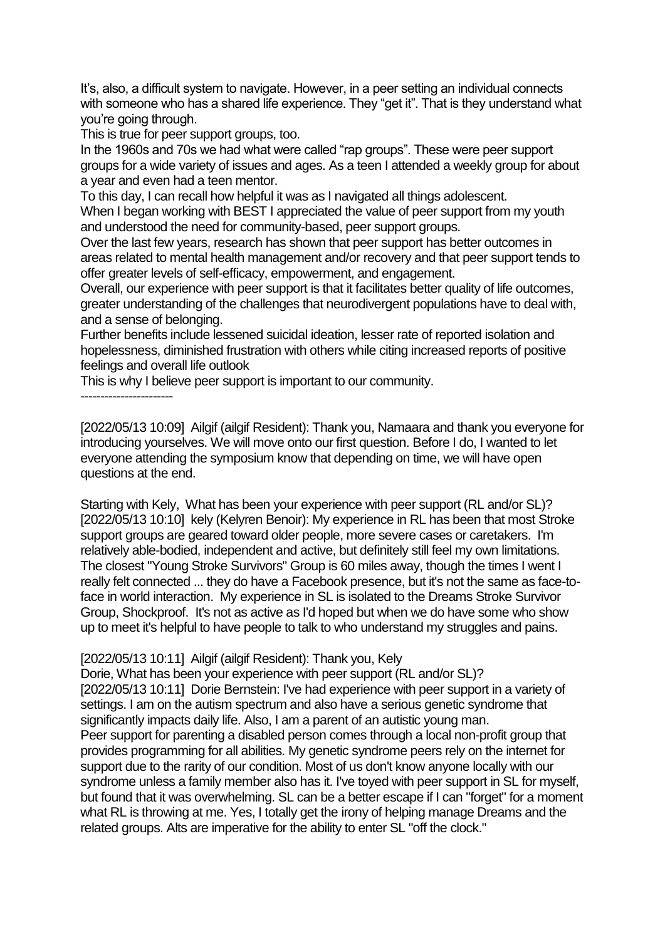It's, also, a difficult system to navigate. However, in a peer setting an individual connects with someone who has a shared life experience. They "get it". That is they understand what you're going through.

This is true for peer support groups, too.

In the 1960s and 70s we had what were called "rap groups". These were peer support groups for a wide variety of issues and ages. As a teen I attended a weekly group for about a year and even had a teen mentor.

To this day, I can recall how helpful it was as I navigated all things adolescent. When I began working with BEST I appreciated the value of peer support from my youth and understood the need for community-based, peer support groups.

Over the last few years, research has shown that peer support has better outcomes in areas related to mental health management and/or recovery and that peer support tends to offer greater levels of self-efficacy, empowerment, and engagement.

Overall, our experience with peer support is that it facilitates better quality of life outcomes, greater understanding of the challenges that neurodivergent populations have to deal with, and a sense of belonging.

Further benefits include lessened suicidal ideation, lesser rate of reported isolation and hopelessness, diminished frustration with others while citing increased reports of positive feelings and overall life outlook

This is why I believe peer support is important to our community.

-----------------------

[2022/05/13 10:09] Ailgif (ailgif Resident): Thank you, Namaara and thank you everyone for introducing yourselves. We will move onto our first question. Before I do, I wanted to let everyone attending the symposium know that depending on time, we will have open questions at the end.

Starting with Kely, What has been your experience with peer support (RL and/or SL)? [2022/05/13 10:10] kely (Kelyren Benoir): My experience in RL has been that most Stroke support groups are geared toward older people, more severe cases or caretakers. I'm relatively able-bodied, independent and active, but definitely still feel my own limitations. The closest "Young Stroke Survivors" Group is 60 miles away, though the times I went I really felt connected ... they do have a Facebook presence, but it's not the same as face-toface in world interaction. My experience in SL is isolated to the Dreams Stroke Survivor Group, Shockproof. It's not as active as I'd hoped but when we do have some who show up to meet it's helpful to have people to talk to who understand my struggles and pains.

## [2022/05/13 10:11] Ailgif (ailgif Resident): Thank you, Kely

Dorie, What has been your experience with peer support (RL and/or SL)? [2022/05/13 10:11] Dorie Bernstein: I've had experience with peer support in a variety of settings. I am on the autism spectrum and also have a serious genetic syndrome that significantly impacts daily life. Also, I am a parent of an autistic young man. Peer support for parenting a disabled person comes through a local non-profit group that provides programming for all abilities. My genetic syndrome peers rely on the internet for support due to the rarity of our condition. Most of us don't know anyone locally with our syndrome unless a family member also has it. I've toyed with peer support in SL for myself, but found that it was overwhelming. SL can be a better escape if I can "forget" for a moment what RL is throwing at me. Yes, I totally get the irony of helping manage Dreams and the related groups. Alts are imperative for the ability to enter SL "off the clock."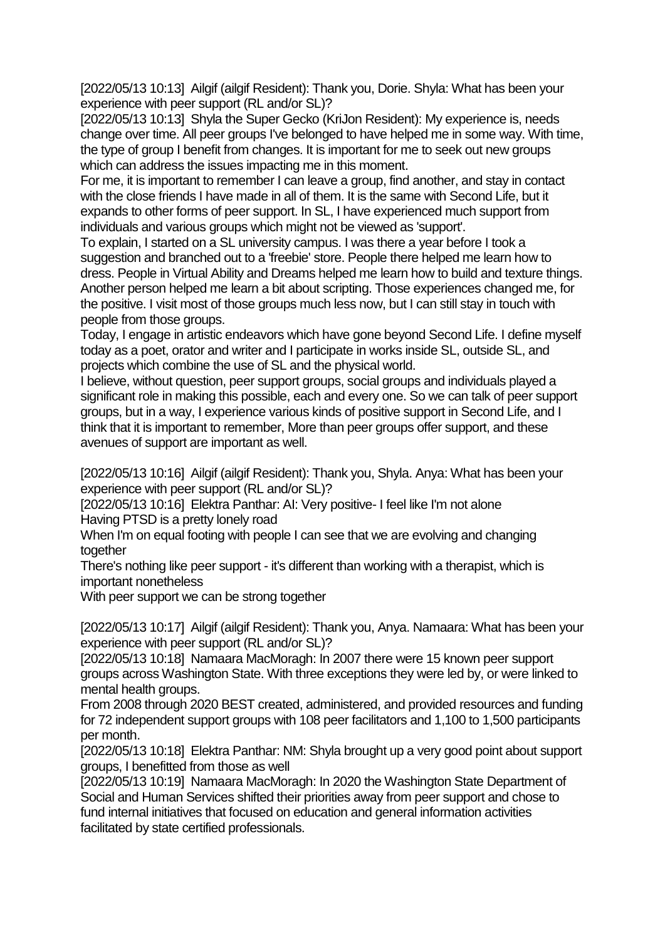[2022/05/13 10:13] Ailgif (ailgif Resident): Thank you, Dorie. Shyla: What has been your experience with peer support (RL and/or SL)?

[2022/05/13 10:13] Shyla the Super Gecko (KriJon Resident): My experience is, needs change over time. All peer groups I've belonged to have helped me in some way. With time, the type of group I benefit from changes. It is important for me to seek out new groups which can address the issues impacting me in this moment.

For me, it is important to remember I can leave a group, find another, and stay in contact with the close friends I have made in all of them. It is the same with Second Life, but it expands to other forms of peer support. In SL, I have experienced much support from individuals and various groups which might not be viewed as 'support'.

To explain, I started on a SL university campus. I was there a year before I took a suggestion and branched out to a 'freebie' store. People there helped me learn how to dress. People in Virtual Ability and Dreams helped me learn how to build and texture things. Another person helped me learn a bit about scripting. Those experiences changed me, for the positive. I visit most of those groups much less now, but I can still stay in touch with people from those groups.

Today, I engage in artistic endeavors which have gone beyond Second Life. I define myself today as a poet, orator and writer and I participate in works inside SL, outside SL, and projects which combine the use of SL and the physical world.

I believe, without question, peer support groups, social groups and individuals played a significant role in making this possible, each and every one. So we can talk of peer support groups, but in a way, I experience various kinds of positive support in Second Life, and I think that it is important to remember, More than peer groups offer support, and these avenues of support are important as well.

[2022/05/13 10:16] Ailgif (ailgif Resident): Thank you, Shyla. Anya: What has been your experience with peer support (RL and/or SL)?

[2022/05/13 10:16] Elektra Panthar: AI: Very positive- I feel like I'm not alone Having PTSD is a pretty lonely road

When I'm on equal footing with people I can see that we are evolving and changing together

There's nothing like peer support - it's different than working with a therapist, which is important nonetheless

With peer support we can be strong together

[2022/05/13 10:17] Ailgif (ailgif Resident): Thank you, Anya. Namaara: What has been your experience with peer support (RL and/or SL)?

[2022/05/13 10:18] Namaara MacMoragh: In 2007 there were 15 known peer support groups across Washington State. With three exceptions they were led by, or were linked to mental health groups.

From 2008 through 2020 BEST created, administered, and provided resources and funding for 72 independent support groups with 108 peer facilitators and 1,100 to 1,500 participants per month.

[2022/05/13 10:18] Elektra Panthar: NM: Shyla brought up a very good point about support groups, I benefitted from those as well

[2022/05/13 10:19] Namaara MacMoragh: In 2020 the Washington State Department of Social and Human Services shifted their priorities away from peer support and chose to fund internal initiatives that focused on education and general information activities facilitated by state certified professionals.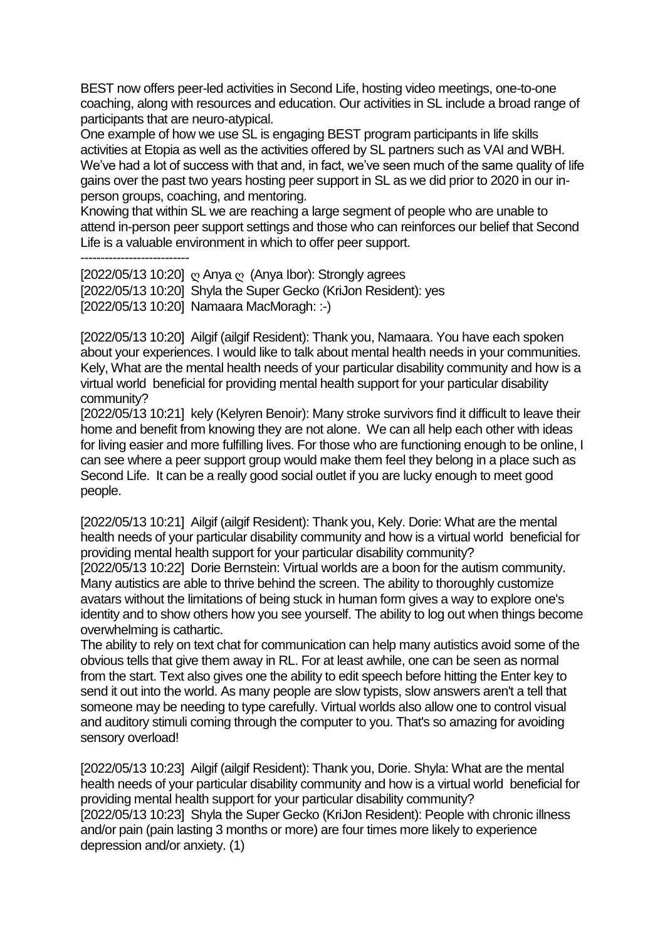BEST now offers peer-led activities in Second Life, hosting video meetings, one-to-one coaching, along with resources and education. Our activities in SL include a broad range of participants that are neuro-atypical.

One example of how we use SL is engaging BEST program participants in life skills activities at Etopia as well as the activities offered by SL partners such as VAI and WBH. We've had a lot of success with that and, in fact, we've seen much of the same quality of life gains over the past two years hosting peer support in SL as we did prior to 2020 in our inperson groups, coaching, and mentoring.

Knowing that within SL we are reaching a large segment of people who are unable to attend in-person peer support settings and those who can reinforces our belief that Second Life is a valuable environment in which to offer peer support.

---------------------------

[2022/05/13 10:20] ღ Anya ღ (Anya Ibor): Strongly agrees [2022/05/13 10:20] Shyla the Super Gecko (KriJon Resident): yes [2022/05/13 10:20] Namaara MacMoragh: :-)

[2022/05/13 10:20] Ailgif (ailgif Resident): Thank you, Namaara. You have each spoken about your experiences. I would like to talk about mental health needs in your communities. Kely, What are the mental health needs of your particular disability community and how is a virtual world beneficial for providing mental health support for your particular disability community?

[2022/05/13 10:21] kely (Kelyren Benoir): Many stroke survivors find it difficult to leave their home and benefit from knowing they are not alone. We can all help each other with ideas for living easier and more fulfilling lives. For those who are functioning enough to be online, I can see where a peer support group would make them feel they belong in a place such as Second Life. It can be a really good social outlet if you are lucky enough to meet good people.

[2022/05/13 10:21] Ailgif (ailgif Resident): Thank you, Kely. Dorie: What are the mental health needs of your particular disability community and how is a virtual world beneficial for providing mental health support for your particular disability community?

[2022/05/13 10:22] Dorie Bernstein: Virtual worlds are a boon for the autism community. Many autistics are able to thrive behind the screen. The ability to thoroughly customize avatars without the limitations of being stuck in human form gives a way to explore one's identity and to show others how you see yourself. The ability to log out when things become overwhelming is cathartic.

The ability to rely on text chat for communication can help many autistics avoid some of the obvious tells that give them away in RL. For at least awhile, one can be seen as normal from the start. Text also gives one the ability to edit speech before hitting the Enter key to send it out into the world. As many people are slow typists, slow answers aren't a tell that someone may be needing to type carefully. Virtual worlds also allow one to control visual and auditory stimuli coming through the computer to you. That's so amazing for avoiding sensory overload!

[2022/05/13 10:23] Ailgif (ailgif Resident): Thank you, Dorie. Shyla: What are the mental health needs of your particular disability community and how is a virtual world beneficial for providing mental health support for your particular disability community? [2022/05/13 10:23] Shyla the Super Gecko (KriJon Resident): People with chronic illness and/or pain (pain lasting 3 months or more) are four times more likely to experience depression and/or anxiety. (1)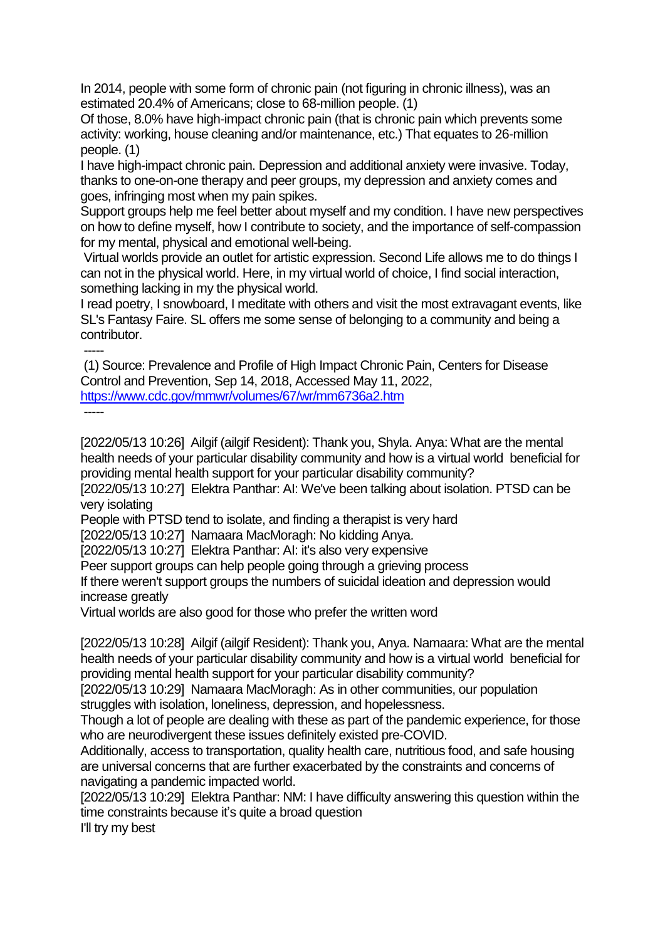In 2014, people with some form of chronic pain (not figuring in chronic illness), was an estimated 20.4% of Americans; close to 68-million people. (1)

Of those, 8.0% have high-impact chronic pain (that is chronic pain which prevents some activity: working, house cleaning and/or maintenance, etc.) That equates to 26-million people. (1)

I have high-impact chronic pain. Depression and additional anxiety were invasive. Today, thanks to one-on-one therapy and peer groups, my depression and anxiety comes and goes, infringing most when my pain spikes.

Support groups help me feel better about myself and my condition. I have new perspectives on how to define myself, how I contribute to society, and the importance of self-compassion for my mental, physical and emotional well-being.

Virtual worlds provide an outlet for artistic expression. Second Life allows me to do things I can not in the physical world. Here, in my virtual world of choice, I find social interaction, something lacking in my the physical world.

I read poetry, I snowboard, I meditate with others and visit the most extravagant events, like SL's Fantasy Faire. SL offers me some sense of belonging to a community and being a contributor.

----- (1) Source: Prevalence and Profile of High Impact Chronic Pain, Centers for Disease Control and Prevention, Sep 14, 2018, Accessed May 11, 2022, <https://www.cdc.gov/mmwr/volumes/67/wr/mm6736a2.htm> -----

[2022/05/13 10:26] Ailgif (ailgif Resident): Thank you, Shyla. Anya: What are the mental health needs of your particular disability community and how is a virtual world beneficial for providing mental health support for your particular disability community?

[2022/05/13 10:27] Elektra Panthar: AI: We've been talking about isolation. PTSD can be very isolating

People with PTSD tend to isolate, and finding a therapist is very hard

[2022/05/13 10:27] Namaara MacMoragh: No kidding Anya.

[2022/05/13 10:27] Elektra Panthar: AI: it's also very expensive

Peer support groups can help people going through a grieving process

If there weren't support groups the numbers of suicidal ideation and depression would increase greatly

Virtual worlds are also good for those who prefer the written word

[2022/05/13 10:28] Ailgif (ailgif Resident): Thank you, Anya. Namaara: What are the mental health needs of your particular disability community and how is a virtual world beneficial for providing mental health support for your particular disability community?

[2022/05/13 10:29] Namaara MacMoragh: As in other communities, our population struggles with isolation, loneliness, depression, and hopelessness.

Though a lot of people are dealing with these as part of the pandemic experience, for those who are neurodivergent these issues definitely existed pre-COVID.

Additionally, access to transportation, quality health care, nutritious food, and safe housing are universal concerns that are further exacerbated by the constraints and concerns of navigating a pandemic impacted world.

[2022/05/13 10:29] Elektra Panthar: NM: I have difficulty answering this question within the time constraints because it's quite a broad question

I'll try my best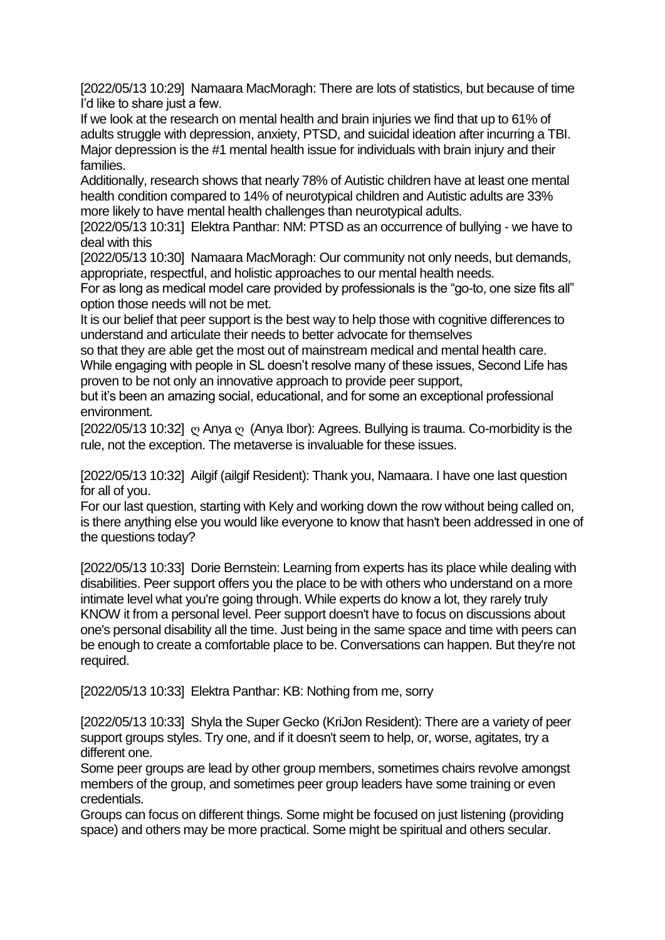[2022/05/13 10:29] Namaara MacMoragh: There are lots of statistics, but because of time I'd like to share just a few.

If we look at the research on mental health and brain injuries we find that up to 61% of adults struggle with depression, anxiety, PTSD, and suicidal ideation after incurring a TBI. Major depression is the #1 mental health issue for individuals with brain injury and their families.

Additionally, research shows that nearly 78% of Autistic children have at least one mental health condition compared to 14% of neurotypical children and Autistic adults are 33% more likely to have mental health challenges than neurotypical adults.

[2022/05/13 10:31] Elektra Panthar: NM: PTSD as an occurrence of bullying - we have to deal with this

[2022/05/13 10:30] Namaara MacMoragh: Our community not only needs, but demands, appropriate, respectful, and holistic approaches to our mental health needs.

For as long as medical model care provided by professionals is the "go-to, one size fits all" option those needs will not be met.

It is our belief that peer support is the best way to help those with cognitive differences to understand and articulate their needs to better advocate for themselves

so that they are able get the most out of mainstream medical and mental health care. While engaging with people in SL doesn't resolve many of these issues, Second Life has proven to be not only an innovative approach to provide peer support,

but it's been an amazing social, educational, and for some an exceptional professional environment.

[2022/05/13 10:32]  $\degree$  Anya  $\degree$  (Anya Ibor): Agrees. Bullying is trauma. Co-morbidity is the rule, not the exception. The metaverse is invaluable for these issues.

[2022/05/13 10:32] Ailgif (ailgif Resident): Thank you, Namaara. I have one last question for all of you.

For our last question, starting with Kely and working down the row without being called on, is there anything else you would like everyone to know that hasn't been addressed in one of the questions today?

[2022/05/13 10:33] Dorie Bernstein: Learning from experts has its place while dealing with disabilities. Peer support offers you the place to be with others who understand on a more intimate level what you're going through. While experts do know a lot, they rarely truly KNOW it from a personal level. Peer support doesn't have to focus on discussions about one's personal disability all the time. Just being in the same space and time with peers can be enough to create a comfortable place to be. Conversations can happen. But they're not required.

[2022/05/13 10:33] Elektra Panthar: KB: Nothing from me, sorry

[2022/05/13 10:33] Shyla the Super Gecko (KriJon Resident): There are a variety of peer support groups styles. Try one, and if it doesn't seem to help, or, worse, agitates, try a different one.

Some peer groups are lead by other group members, sometimes chairs revolve amongst members of the group, and sometimes peer group leaders have some training or even credentials.

Groups can focus on different things. Some might be focused on just listening (providing space) and others may be more practical. Some might be spiritual and others secular.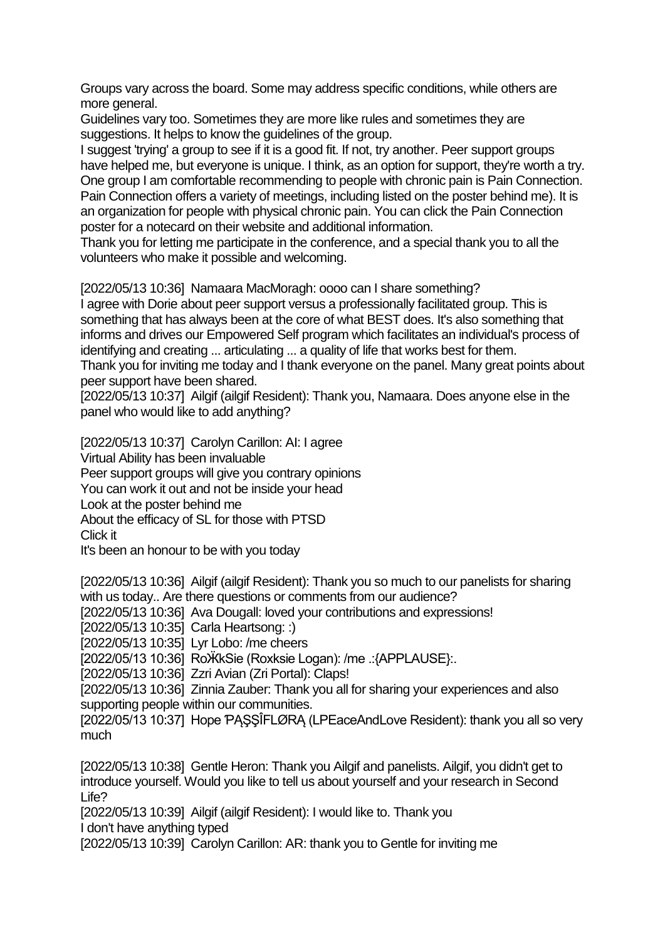Groups vary across the board. Some may address specific conditions, while others are more general.

Guidelines vary too. Sometimes they are more like rules and sometimes they are suggestions. It helps to know the guidelines of the group.

I suggest 'trying' a group to see if it is a good fit. If not, try another. Peer support groups have helped me, but everyone is unique. I think, as an option for support, they're worth a try. One group I am comfortable recommending to people with chronic pain is Pain Connection. Pain Connection offers a variety of meetings, including listed on the poster behind me). It is an organization for people with physical chronic pain. You can click the Pain Connection poster for a notecard on their website and additional information.

Thank you for letting me participate in the conference, and a special thank you to all the volunteers who make it possible and welcoming.

[2022/05/13 10:36] Namaara MacMoragh: oooo can I share something?

I agree with Dorie about peer support versus a professionally facilitated group. This is something that has always been at the core of what BEST does. It's also something that informs and drives our Empowered Self program which facilitates an individual's process of identifying and creating ... articulating ... a quality of life that works best for them. Thank you for inviting me today and I thank everyone on the panel. Many great points about

peer support have been shared. [2022/05/13 10:37] Ailgif (ailgif Resident): Thank you, Namaara. Does anyone else in the panel who would like to add anything?

[2022/05/13 10:37] Carolyn Carillon: AI: I agree Virtual Ability has been invaluable Peer support groups will give you contrary opinions You can work it out and not be inside your head Look at the poster behind me About the efficacy of SL for those with PTSD Click it It's been an honour to be with you today

[2022/05/13 10:36] Ailgif (ailgif Resident): Thank you so much to our panelists for sharing with us today.. Are there questions or comments from our audience?

[2022/05/13 10:36] Ava Dougall: loved your contributions and expressions!

[2022/05/13 10:35] Carla Heartsong: :)

[2022/05/13 10:35] Lyr Lobo: /me cheers

[2022/05/13 10:36] RoӜkSie (Roxksie Logan): /me .:{APPLAUSE}:.

[2022/05/13 10:36] Zzri Avian (Zri Portal): Claps!

[2022/05/13 10:36] Zinnia Zauber: Thank you all for sharing your experiences and also supporting people within our communities.

[2022/05/13 10:37] Hope ƤĄŞŞÎFLØRĄ (LPEaceAndLove Resident): thank you all so very much

[2022/05/13 10:38] Gentle Heron: Thank you Ailgif and panelists. Ailgif, you didn't get to introduce yourself. Would you like to tell us about yourself and your research in Second Life?

[2022/05/13 10:39] Ailgif (ailgif Resident): I would like to. Thank you I don't have anything typed

[2022/05/13 10:39] Carolyn Carillon: AR: thank you to Gentle for inviting me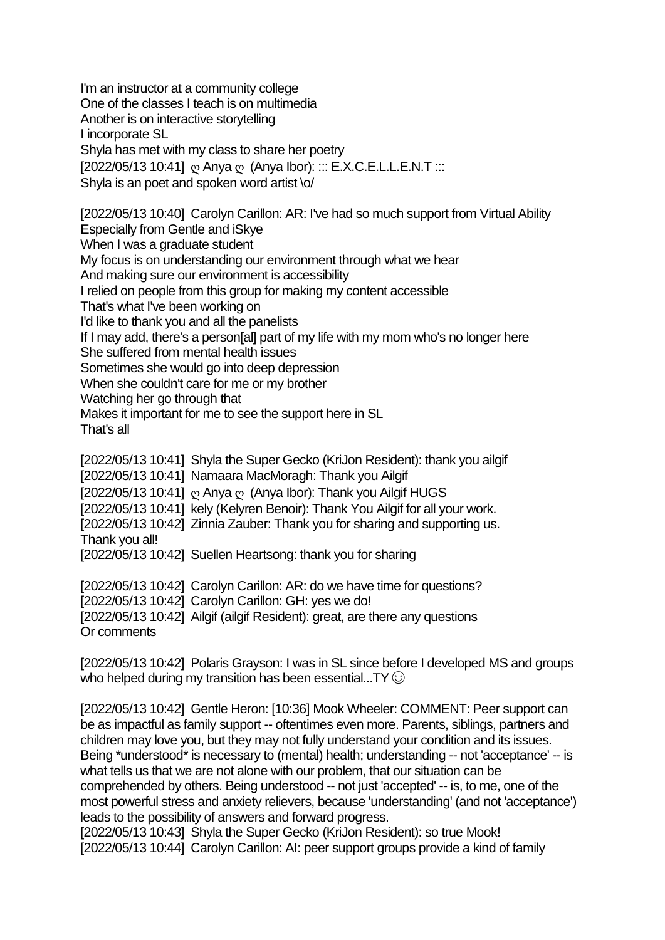I'm an instructor at a community college One of the classes I teach is on multimedia Another is on interactive storytelling I incorporate SL Shyla has met with my class to share her poetry [2022/05/13 10:41] ω Anya ω (Anya Ibor): ::: Ε.Χ.C.E.L.L.E.N.T ::: Shyla is an poet and spoken word artist \o/

[2022/05/13 10:40] Carolyn Carillon: AR: I've had so much support from Virtual Ability Especially from Gentle and iSkye When I was a graduate student My focus is on understanding our environment through what we hear And making sure our environment is accessibility I relied on people from this group for making my content accessible That's what I've been working on I'd like to thank you and all the panelists If I may add, there's a person[al] part of my life with my mom who's no longer here She suffered from mental health issues Sometimes she would go into deep depression When she couldn't care for me or my brother Watching her go through that Makes it important for me to see the support here in SL

That's all

[2022/05/13 10:41] Shyla the Super Gecko (KriJon Resident): thank you ailgif [2022/05/13 10:41] Namaara MacMoragh: Thank you Ailgif [2022/05/13 10:41] ღ Anya ღ (Anya Ibor): Thank you Ailgif HUGS [2022/05/13 10:41] kely (Kelyren Benoir): Thank You Ailgif for all your work. [2022/05/13 10:42] Zinnia Zauber: Thank you for sharing and supporting us. Thank you all! [2022/05/13 10:42] Suellen Heartsong: thank you for sharing

[2022/05/13 10:42] Carolyn Carillon: AR: do we have time for questions? [2022/05/13 10:42] Carolyn Carillon: GH: yes we do! [2022/05/13 10:42] Ailgif (ailgif Resident): great, are there any questions Or comments

[2022/05/13 10:42] Polaris Grayson: I was in SL since before I developed MS and groups who helped during my transition has been essential...TY  $\odot$ 

[2022/05/13 10:42] Gentle Heron: [10:36] Mook Wheeler: COMMENT: Peer support can be as impactful as family support -- oftentimes even more. Parents, siblings, partners and children may love you, but they may not fully understand your condition and its issues. Being \*understood\* is necessary to (mental) health; understanding -- not 'acceptance' -- is what tells us that we are not alone with our problem, that our situation can be comprehended by others. Being understood -- not just 'accepted' -- is, to me, one of the most powerful stress and anxiety relievers, because 'understanding' (and not 'acceptance') leads to the possibility of answers and forward progress.

[2022/05/13 10:43] Shyla the Super Gecko (KriJon Resident): so true Mook! [2022/05/13 10:44] Carolyn Carillon: AI: peer support groups provide a kind of family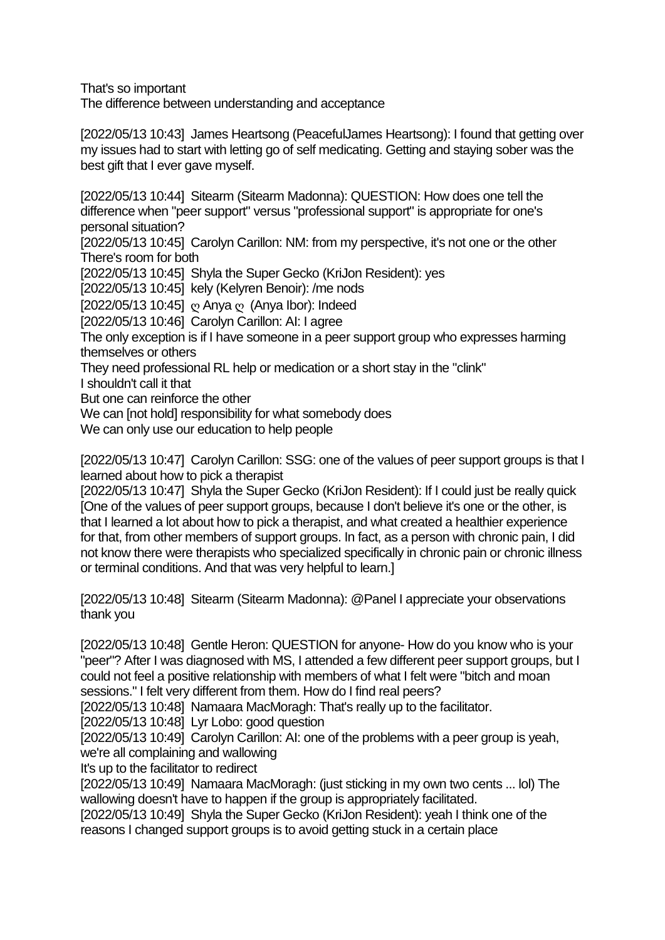That's so important

The difference between understanding and acceptance

[2022/05/13 10:43] James Heartsong (PeacefulJames Heartsong): I found that getting over my issues had to start with letting go of self medicating. Getting and staying sober was the best gift that I ever gave myself.

[2022/05/13 10:44] Sitearm (Sitearm Madonna): QUESTION: How does one tell the difference when "peer support" versus "professional support" is appropriate for one's personal situation?

[2022/05/13 10:45] Carolyn Carillon: NM: from my perspective, it's not one or the other There's room for both

[2022/05/13 10:45] Shyla the Super Gecko (KriJon Resident): yes

[2022/05/13 10:45] kely (Kelyren Benoir): /me nods

[2022/05/13 10:45] ღ Anya ღ (Anya Ibor): Indeed

[2022/05/13 10:46] Carolyn Carillon: AI: I agree

The only exception is if I have someone in a peer support group who expresses harming themselves or others

They need professional RL help or medication or a short stay in the "clink"

I shouldn't call it that

But one can reinforce the other

We can [not hold] responsibility for what somebody does

We can only use our education to help people

[2022/05/13 10:47] Carolyn Carillon: SSG: one of the values of peer support groups is that I learned about how to pick a therapist

[2022/05/13 10:47] Shyla the Super Gecko (KriJon Resident): If I could just be really quick [One of the values of peer support groups, because I don't believe it's one or the other, is that I learned a lot about how to pick a therapist, and what created a healthier experience for that, from other members of support groups. In fact, as a person with chronic pain, I did not know there were therapists who specialized specifically in chronic pain or chronic illness or terminal conditions. And that was very helpful to learn.]

[2022/05/13 10:48] Sitearm (Sitearm Madonna): @Panel I appreciate your observations thank you

[2022/05/13 10:48] Gentle Heron: QUESTION for anyone- How do you know who is your "peer"? After I was diagnosed with MS, I attended a few different peer support groups, but I could not feel a positive relationship with members of what I felt were "bitch and moan sessions." I felt very different from them. How do I find real peers?

[2022/05/13 10:48] Namaara MacMoragh: That's really up to the facilitator.

[2022/05/13 10:48] Lyr Lobo: good question

[2022/05/13 10:49] Carolyn Carillon: AI: one of the problems with a peer group is yeah, we're all complaining and wallowing

It's up to the facilitator to redirect

[2022/05/13 10:49] Namaara MacMoragh: (just sticking in my own two cents ... lol) The wallowing doesn't have to happen if the group is appropriately facilitated.

[2022/05/13 10:49] Shyla the Super Gecko (KriJon Resident): yeah I think one of the reasons I changed support groups is to avoid getting stuck in a certain place